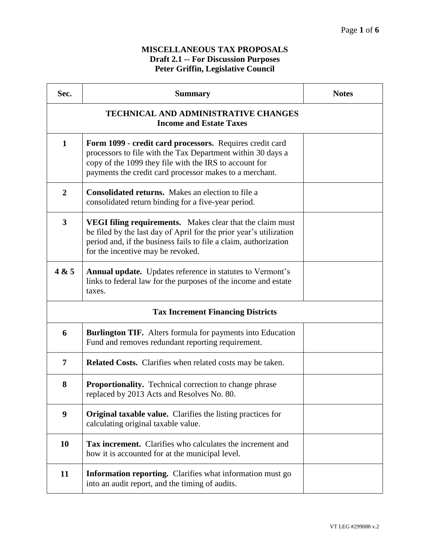## **MISCELLANEOUS TAX PROPOSALS Draft 2.1 -- For Discussion Purposes Peter Griffin, Legislative Council**

| Sec.                                                                          | <b>Summary</b>                                                                                                                                                                                                                                  | <b>Notes</b> |
|-------------------------------------------------------------------------------|-------------------------------------------------------------------------------------------------------------------------------------------------------------------------------------------------------------------------------------------------|--------------|
| <b>TECHNICAL AND ADMINISTRATIVE CHANGES</b><br><b>Income and Estate Taxes</b> |                                                                                                                                                                                                                                                 |              |
| $\mathbf{1}$                                                                  | Form 1099 - credit card processors. Requires credit card<br>processors to file with the Tax Department within 30 days a<br>copy of the 1099 they file with the IRS to account for<br>payments the credit card processor makes to a merchant.    |              |
| $\overline{2}$                                                                | <b>Consolidated returns.</b> Makes an election to file a<br>consolidated return binding for a five-year period.                                                                                                                                 |              |
| $\overline{3}$                                                                | <b>VEGI filing requirements.</b> Makes clear that the claim must<br>be filed by the last day of April for the prior year's utilization<br>period and, if the business fails to file a claim, authorization<br>for the incentive may be revoked. |              |
| 4 & 5                                                                         | <b>Annual update.</b> Updates reference in statutes to Vermont's<br>links to federal law for the purposes of the income and estate<br>taxes.                                                                                                    |              |
| <b>Tax Increment Financing Districts</b>                                      |                                                                                                                                                                                                                                                 |              |
| 6                                                                             | Burlington TIF. Alters formula for payments into Education<br>Fund and removes redundant reporting requirement.                                                                                                                                 |              |
| 7                                                                             | <b>Related Costs.</b> Clarifies when related costs may be taken.                                                                                                                                                                                |              |
| 8                                                                             | <b>Proportionality.</b> Technical correction to change phrase<br>replaced by 2013 Acts and Resolves No. 80.                                                                                                                                     |              |
| 9                                                                             | Original taxable value. Clarifies the listing practices for<br>calculating original taxable value.                                                                                                                                              |              |
| 10                                                                            | Tax increment. Clarifies who calculates the increment and<br>how it is accounted for at the municipal level.                                                                                                                                    |              |
| 11                                                                            | <b>Information reporting.</b> Clarifies what information must go<br>into an audit report, and the timing of audits.                                                                                                                             |              |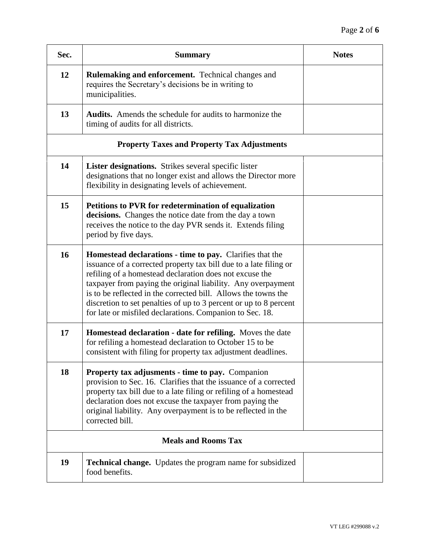| Sec.                                               | <b>Summary</b>                                                                                                                                                                                                                                                                                                                                                                                                                                                     | <b>Notes</b> |
|----------------------------------------------------|--------------------------------------------------------------------------------------------------------------------------------------------------------------------------------------------------------------------------------------------------------------------------------------------------------------------------------------------------------------------------------------------------------------------------------------------------------------------|--------------|
| 12                                                 | <b>Rulemaking and enforcement.</b> Technical changes and<br>requires the Secretary's decisions be in writing to<br>municipalities.                                                                                                                                                                                                                                                                                                                                 |              |
| 13                                                 | <b>Audits.</b> Amends the schedule for audits to harmonize the<br>timing of audits for all districts.                                                                                                                                                                                                                                                                                                                                                              |              |
| <b>Property Taxes and Property Tax Adjustments</b> |                                                                                                                                                                                                                                                                                                                                                                                                                                                                    |              |
| 14                                                 | <b>Lister designations.</b> Strikes several specific lister<br>designations that no longer exist and allows the Director more<br>flexibility in designating levels of achievement.                                                                                                                                                                                                                                                                                 |              |
| 15                                                 | Petitions to PVR for redetermination of equalization<br>decisions. Changes the notice date from the day a town<br>receives the notice to the day PVR sends it. Extends filing<br>period by five days.                                                                                                                                                                                                                                                              |              |
| 16                                                 | <b>Homestead declarations - time to pay.</b> Clarifies that the<br>issuance of a corrected property tax bill due to a late filing or<br>refiling of a homestead declaration does not excuse the<br>taxpayer from paying the original liability. Any overpayment<br>is to be reflected in the corrected bill. Allows the towns the<br>discretion to set penalties of up to 3 percent or up to 8 percent<br>for late or misfiled declarations. Companion to Sec. 18. |              |
| 17                                                 | Homestead declaration - date for refiling. Moves the date<br>for refiling a homestead declaration to October 15 to be<br>consistent with filing for property tax adjustment deadlines.                                                                                                                                                                                                                                                                             |              |
| 18                                                 | <b>Property tax adjusments - time to pay.</b> Companion<br>provision to Sec. 16. Clarifies that the issuance of a corrected<br>property tax bill due to a late filing or refiling of a homestead<br>declaration does not excuse the taxpayer from paying the<br>original liability. Any overpayment is to be reflected in the<br>corrected bill.                                                                                                                   |              |
| <b>Meals and Rooms Tax</b>                         |                                                                                                                                                                                                                                                                                                                                                                                                                                                                    |              |
| 19                                                 | <b>Technical change.</b> Updates the program name for subsidized<br>food benefits.                                                                                                                                                                                                                                                                                                                                                                                 |              |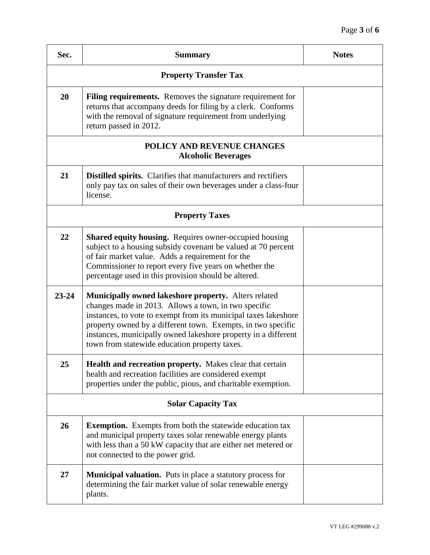| Sec.                                                     | <b>Summary</b>                                                                                                                                                                                                                                                                                                                                                            | <b>Notes</b> |
|----------------------------------------------------------|---------------------------------------------------------------------------------------------------------------------------------------------------------------------------------------------------------------------------------------------------------------------------------------------------------------------------------------------------------------------------|--------------|
| <b>Property Transfer Tax</b>                             |                                                                                                                                                                                                                                                                                                                                                                           |              |
| 20                                                       | <b>Filing requirements.</b> Removes the signature requirement for<br>returns that accompany deeds for filing by a clerk. Conforms<br>with the removal of signature requirement from underlying<br>return passed in 2012.                                                                                                                                                  |              |
| POLICY AND REVENUE CHANGES<br><b>Alcoholic Beverages</b> |                                                                                                                                                                                                                                                                                                                                                                           |              |
| 21                                                       | <b>Distilled spirits.</b> Clarifies that manufacturers and rectifiers<br>only pay tax on sales of their own beverages under a class-four<br>license.                                                                                                                                                                                                                      |              |
| <b>Property Taxes</b>                                    |                                                                                                                                                                                                                                                                                                                                                                           |              |
| 22                                                       | <b>Shared equity housing.</b> Requires owner-occupied housing<br>subject to a housing subsidy covenant be valued at 70 percent<br>of fair market value. Adds a requirement for the<br>Commissioner to report every five years on whether the<br>percentage used in this provision should be altered.                                                                      |              |
| $23 - 24$                                                | <b>Municipally owned lakeshore property.</b> Alters related<br>changes made in 2013. Allows a town, in two specific<br>instances, to vote to exempt from its municipal taxes lakeshore<br>property owned by a different town. Exempts, in two specific<br>instances, municipally owned lakeshore property in a different<br>town from statewide education property taxes. |              |
| 25                                                       | Health and recreation property. Makes clear that certain<br>health and recreation facilities are considered exempt<br>properties under the public, pious, and charitable exemption.                                                                                                                                                                                       |              |
| <b>Solar Capacity Tax</b>                                |                                                                                                                                                                                                                                                                                                                                                                           |              |
| 26                                                       | <b>Exemption.</b> Exempts from both the statewide education tax<br>and municipal property taxes solar renewable energy plants<br>with less than a 50 kW capacity that are either net metered or<br>not connected to the power grid.                                                                                                                                       |              |
| 27                                                       | <b>Municipal valuation.</b> Puts in place a statutory process for<br>determining the fair market value of solar renewable energy<br>plants.                                                                                                                                                                                                                               |              |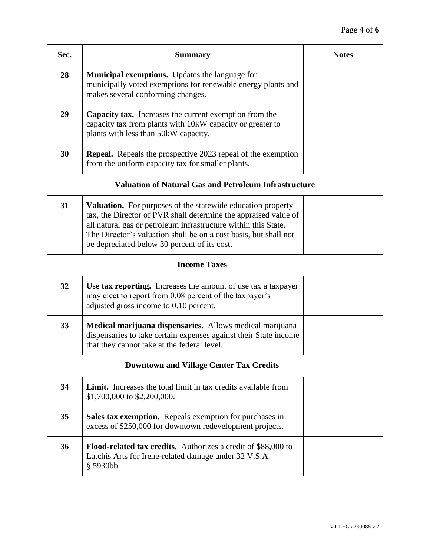| Sec.                                                         | <b>Summary</b>                                                                                                                                                                                                                                                                                                       | <b>Notes</b> |
|--------------------------------------------------------------|----------------------------------------------------------------------------------------------------------------------------------------------------------------------------------------------------------------------------------------------------------------------------------------------------------------------|--------------|
| 28                                                           | Municipal exemptions. Updates the language for<br>municipally voted exemptions for renewable energy plants and<br>makes several conforming changes.                                                                                                                                                                  |              |
| 29                                                           | <b>Capacity tax.</b> Increases the current exemption from the<br>capacity tax from plants with 10kW capacity or greater to<br>plants with less than 50kW capacity.                                                                                                                                                   |              |
| 30                                                           | <b>Repeal.</b> Repeals the prospective 2023 repeal of the exemption<br>from the uniform capacity tax for smaller plants.                                                                                                                                                                                             |              |
| <b>Valuation of Natural Gas and Petroleum Infrastructure</b> |                                                                                                                                                                                                                                                                                                                      |              |
| 31                                                           | Valuation. For purposes of the statewide education property<br>tax, the Director of PVR shall determine the appraised value of<br>all natural gas or petroleum infrastructure within this State.<br>The Director's valuation shall be on a cost basis, but shall not<br>be depreciated below 30 percent of its cost. |              |
|                                                              | <b>Income Taxes</b>                                                                                                                                                                                                                                                                                                  |              |
| 32                                                           | Use tax reporting. Increases the amount of use tax a taxpayer<br>may elect to report from 0.08 percent of the taxpayer's<br>adjusted gross income to 0.10 percent.                                                                                                                                                   |              |
| 33                                                           | Medical marijuana dispensaries. Allows medical marijuana<br>dispensaries to take certain expenses against their State income<br>that they cannot take at the federal level.                                                                                                                                          |              |
| <b>Downtown and Village Center Tax Credits</b>               |                                                                                                                                                                                                                                                                                                                      |              |
| 34                                                           | <b>Limit.</b> Increases the total limit in tax credits available from<br>\$1,700,000 to \$2,200,000.                                                                                                                                                                                                                 |              |
| 35                                                           | <b>Sales tax exemption.</b> Repeals exemption for purchases in<br>excess of \$250,000 for downtown redevelopment projects.                                                                                                                                                                                           |              |
| 36                                                           | Flood-related tax credits. Authorizes a credit of \$88,000 to<br>Latchis Arts for Irene-related damage under 32 V.S.A.<br>$§$ 5930bb.                                                                                                                                                                                |              |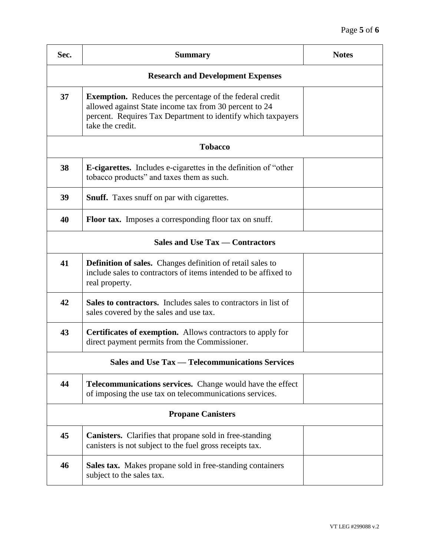| Sec.                                                   | <b>Summary</b>                                                                                                                                                                                               | <b>Notes</b> |
|--------------------------------------------------------|--------------------------------------------------------------------------------------------------------------------------------------------------------------------------------------------------------------|--------------|
| <b>Research and Development Expenses</b>               |                                                                                                                                                                                                              |              |
| 37                                                     | <b>Exemption.</b> Reduces the percentage of the federal credit<br>allowed against State income tax from 30 percent to 24<br>percent. Requires Tax Department to identify which taxpayers<br>take the credit. |              |
| <b>Tobacco</b>                                         |                                                                                                                                                                                                              |              |
| 38                                                     | <b>E-cigarettes.</b> Includes e-cigarettes in the definition of "other"<br>tobacco products" and taxes them as such.                                                                                         |              |
| 39                                                     | <b>Snuff.</b> Taxes snuff on par with cigarettes.                                                                                                                                                            |              |
| 40                                                     | <b>Floor tax.</b> Imposes a corresponding floor tax on snuff.                                                                                                                                                |              |
| <b>Sales and Use Tax — Contractors</b>                 |                                                                                                                                                                                                              |              |
| 41                                                     | <b>Definition of sales.</b> Changes definition of retail sales to<br>include sales to contractors of items intended to be affixed to<br>real property.                                                       |              |
| 42                                                     | <b>Sales to contractors.</b> Includes sales to contractors in list of<br>sales covered by the sales and use tax.                                                                                             |              |
| 43                                                     | <b>Certificates of exemption.</b> Allows contractors to apply for<br>direct payment permits from the Commissioner.                                                                                           |              |
| <b>Sales and Use Tax — Telecommunications Services</b> |                                                                                                                                                                                                              |              |
| 44                                                     | <b>Telecommunications services.</b> Change would have the effect<br>of imposing the use tax on telecommunications services.                                                                                  |              |
| <b>Propane Canisters</b>                               |                                                                                                                                                                                                              |              |
| 45                                                     | <b>Canisters.</b> Clarifies that propane sold in free-standing<br>canisters is not subject to the fuel gross receipts tax.                                                                                   |              |
| 46                                                     | Sales tax. Makes propane sold in free-standing containers<br>subject to the sales tax.                                                                                                                       |              |